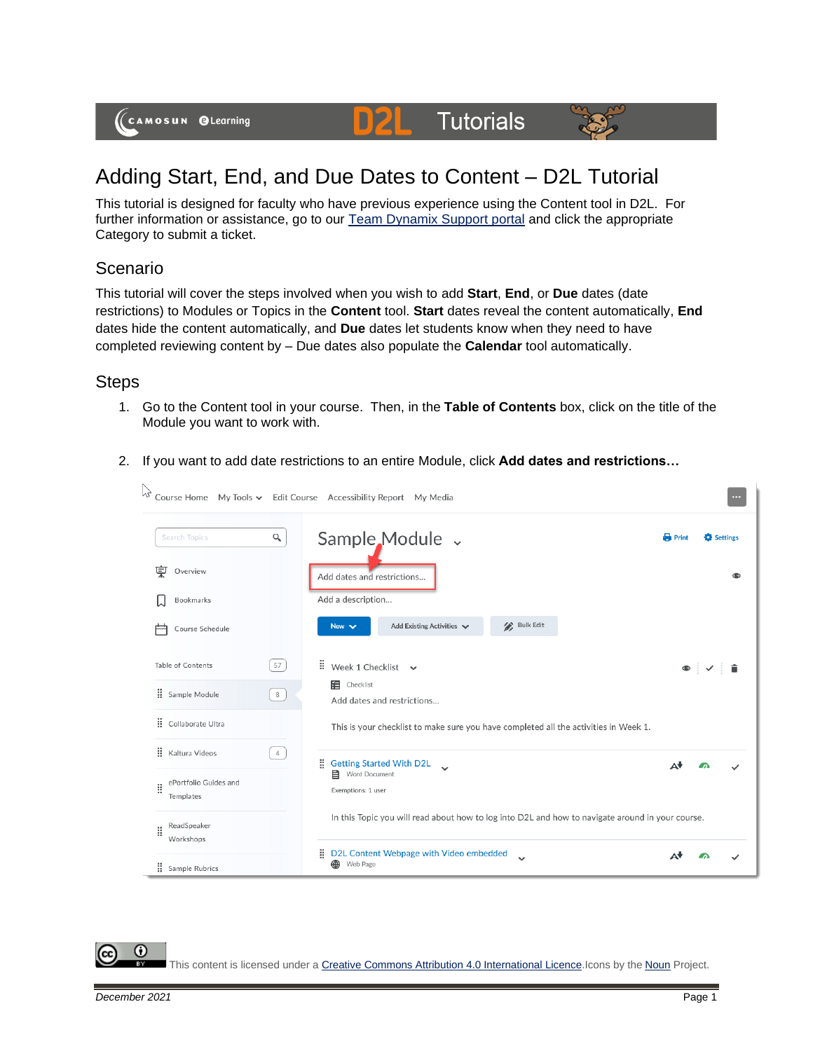(CAMOSUN @Learning

## Adding Start, End, and Due Dates to Content – D2L Tutorial

DZI

**Tutorials** 

This tutorial is designed for faculty who have previous experience using the Content tool in D2L. For further information or assistance, go to our **Team Dynamix Support portal** and click the appropriate Category to submit a ticket.

## Scenario

This tutorial will cover the steps involved when you wish to add **Start**, **End**, or **Due** dates (date restrictions) to Modules or Topics in the **Content** tool. **Start** dates reveal the content automatically, **End** dates hide the content automatically, and **Due** dates let students know when they need to have completed reviewing content by – Due dates also populate the **Calendar** tool automatically.

## **Steps**

- 1. Go to the Content tool in your course. Then, in the **Table of Contents** box, click on the title of the Module you want to work with.
- 2. If you want to add date restrictions to an entire Module, click **Add dates and restrictions…**



This content is licensed under [a Creative Commons Attribution 4.0 International Licence.I](https://creativecommons.org/licenses/by/4.0/)cons by the [Noun](https://creativecommons.org/website-icons/) Project.

⋒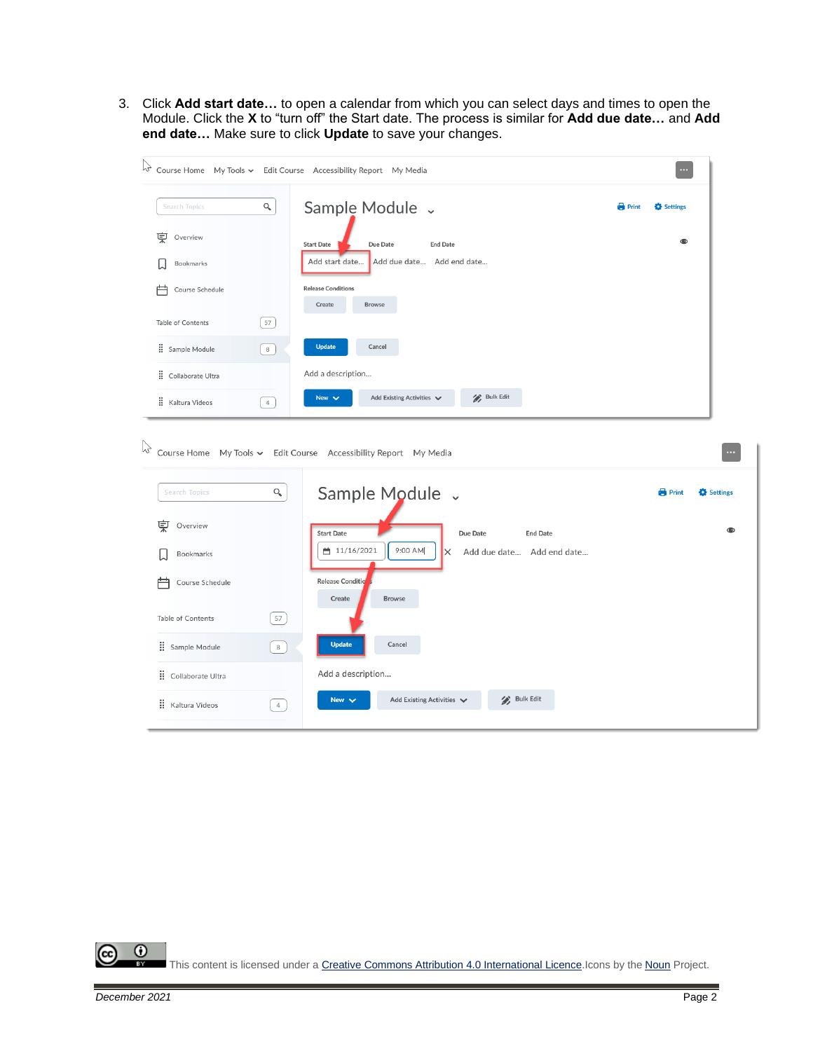3. Click **Add start date…** to open a calendar from which you can select days and times to open the Module. Click the **X** to "turn off" the Start date. The process is similar for **Add due date…** and **Add end date…** Make sure to click **Update** to save your changes.

|                      |                         | $\sqrt{\lambda}$ Course Home My Tools $\sim$ Edit Course Accessibility Report My Media |              | $\cdots$     |          |
|----------------------|-------------------------|----------------------------------------------------------------------------------------|--------------|--------------|----------|
| Search Topics        | $\mathsf{Q}_\mathsf{c}$ | Sample Module v                                                                        | <b>Print</b> | Settings     |          |
| 叓<br>Overview        |                         | <b>Start Date</b><br>Due Date<br><b>End Date</b>                                       |              | $\bullet$    |          |
| Bookmarks            |                         | Add start date<br>Add due date Add end date                                            |              |              |          |
| 户<br>Course Schedule |                         | <b>Release Conditions</b><br><b>Create</b><br><b>Browse</b>                            |              |              |          |
| Table of Contents    | 57                      |                                                                                        |              |              |          |
| : Sample Module      | $^{\rm 8}$              | <b>Update</b><br>Cancel                                                                |              |              |          |
| Collaborate Ultra    |                         | Add a description                                                                      |              |              |          |
| : Kaltura Videos     | $\overline{4}$          | / Bulk Edit<br>Add Existing Activities V<br>New $\vee$                                 |              |              |          |
|                      |                         | $\lambda$ Course Home My Tools $\sim$ Edit Course Accessibility Report My Media        |              |              |          |
| Search Topics        | Q                       | Sample Module v                                                                        |              | <b>Print</b> |          |
| 莫<br>Overview        |                         | <b>End Date</b><br><b>Start Date</b><br>Due Date                                       |              |              |          |
| Bookmarks            |                         | ■ 11/16/2021<br>9:00 AM<br>$\times$<br>Add due date Add end date                       |              |              |          |
| Course Schedule      |                         | Release Conditio                                                                       |              |              | Settings |
| Table of Contents    | 57                      | <b>Browse</b><br><b>Create</b>                                                         |              |              |          |
| Sample Module        | $_{\rm 8}$              | <b>Update</b><br>Cancel                                                                |              |              |          |
| : Collaborate Ultra  |                         | Add a description                                                                      |              |              |          |

 $\overline{0}$ (cc This content is licensed under [a Creative Commons Attribution 4.0 International Licence.I](https://creativecommons.org/licenses/by/4.0/)cons by the [Noun](https://creativecommons.org/website-icons/) Project.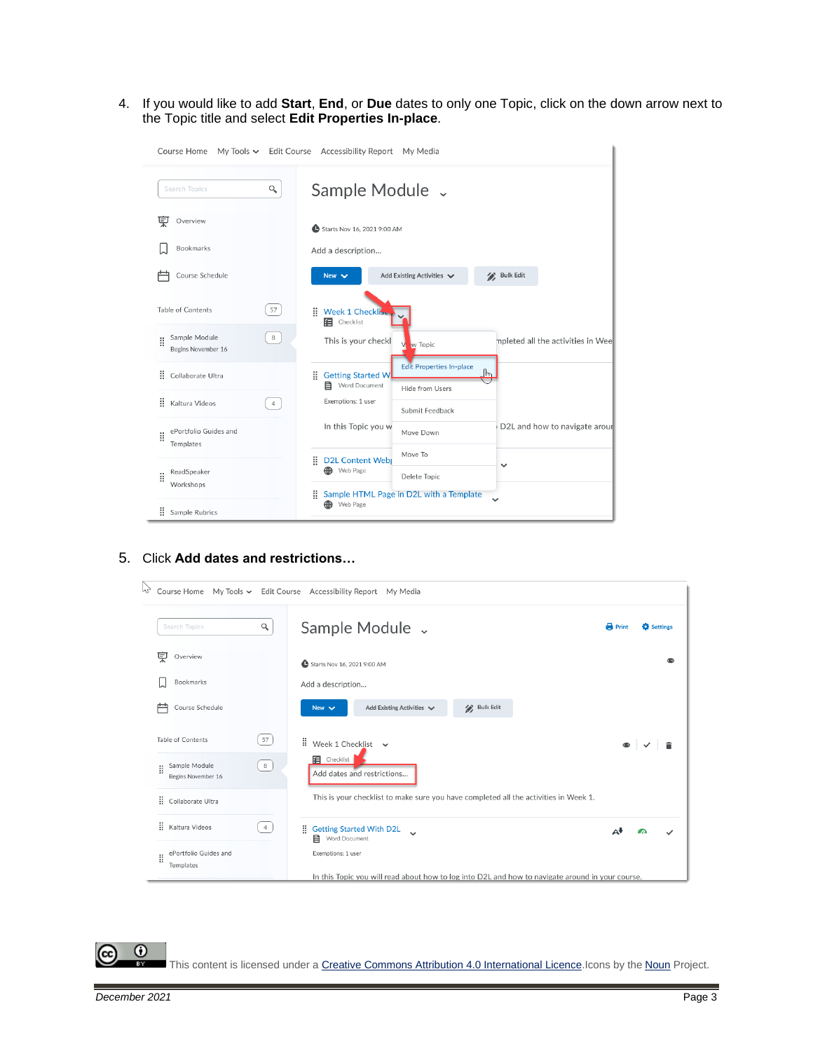4. If you would like to add **Start**, **End**, or **Due** dates to only one Topic, click on the down arrow next to the Topic title and select **Edit Properties In-place**.

| My Tools v Edit Course Accessibility Report My Media<br>Course Home |                                                                                                         |  |  |  |  |  |  |
|---------------------------------------------------------------------|---------------------------------------------------------------------------------------------------------|--|--|--|--|--|--|
| Q<br>Search Topics                                                  | Sample Module v                                                                                         |  |  |  |  |  |  |
| Ų<br>Overview                                                       | Starts Nov 16, 2021 9:00 AM                                                                             |  |  |  |  |  |  |
| Bookmarks                                                           | Add a description                                                                                       |  |  |  |  |  |  |
| Course Schedule                                                     | <b>Bulk Edit</b><br>Add Existing Activities V<br>New $\vee$                                             |  |  |  |  |  |  |
| Table of Contents<br>57                                             | Week 1 Checklise<br>Ħ.<br><b>E</b> Checklist                                                            |  |  |  |  |  |  |
| Sample Module<br>8<br>H<br>Begins November 16                       | This is your checkl<br>mpleted all the activities in Wee<br>w Topic                                     |  |  |  |  |  |  |
| ä<br>Collaborate Ultra                                              | <b>Edit Properties In-place</b><br>$\mathbb{F}$<br>Ħ.<br><b>Getting Started W</b><br>Word Document<br>目 |  |  |  |  |  |  |
| H<br>Kaltura Videos<br>$\ddot{4}$                                   | Hide from Users<br>Exemptions: 1 user<br>Submit Feedback                                                |  |  |  |  |  |  |
| ePortfolio Guides and<br>H<br>Templates                             | In this Topic you w<br>D2L and how to navigate arour<br>Move Down                                       |  |  |  |  |  |  |
|                                                                     | Move To<br>H<br><b>D2L Content Web</b><br>$\checkmark$                                                  |  |  |  |  |  |  |
| ReadSpeaker<br>ä<br>Workshops                                       | <b>B</b> Web Page<br>Delete Topic                                                                       |  |  |  |  |  |  |
| ÷<br>Sample Rubrics                                                 | ÷<br>Sample HTML Page in D2L with a Template<br>Web Page<br>⊕                                           |  |  |  |  |  |  |

5. Click **Add dates and restrictions…**

| M <sub>7</sub><br>Course Home            |                | My Tools v Edit Course Accessibility Report My Media                                               |                                   |
|------------------------------------------|----------------|----------------------------------------------------------------------------------------------------|-----------------------------------|
| Search Topics                            | Q              | Sample Module v                                                                                    | <b>Print</b><br><b>C</b> Settings |
| Overview                                 |                | Starts Nov 16, 2021 9:00 AM                                                                        |                                   |
| Bookmarks                                |                | Add a description                                                                                  |                                   |
| Course Schedule                          |                | <b>Bulk Edit</b><br>Add Existing Activities V<br>New $\vee$                                        |                                   |
| Table of Contents                        | 57             | $\qquad \qquad \vdots \qquad \qquad \text{Week 1 Checklist} \qquad \qquad \text{Week 1 Checklist}$ | $\bullet$ : $\checkmark$ :        |
| Sample Module<br>H<br>Begins November 16 | 8              | Checklist<br>Add dates and restrictions                                                            |                                   |
| : Collaborate Ultra                      |                | This is your checklist to make sure you have completed all the activities in Week 1.               |                                   |
| : Kaltura Videos                         | $\overline{4}$ | н.<br><b>Getting Started With D2L</b><br>$\checkmark$<br><b>目</b> Word Document                    | Δ₩                                |
| ePortfolio Guides and<br>ă<br>Templates  |                | Exemptions: 1 user                                                                                 |                                   |
|                                          |                | In this Topic you will read about how to log into D2L and how to navigate around in your course.   |                                   |

This content is licensed under [a Creative Commons Attribution 4.0 International Licence.I](https://creativecommons.org/licenses/by/4.0/)cons by the [Noun](https://creativecommons.org/website-icons/) Project.

 $\overline{0}$ 

(cc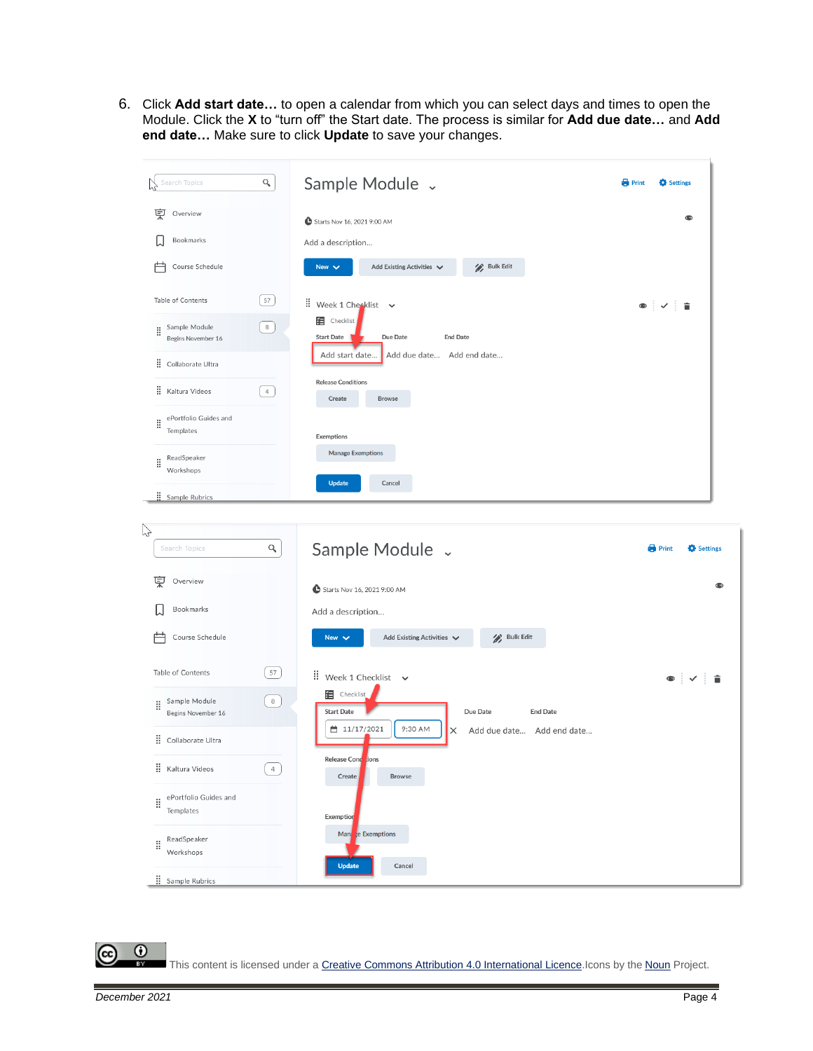6. Click **Add start date…** to open a calendar from which you can select days and times to open the Module. Click the **X** to "turn off" the Start date. The process is similar for **Add due date…** and **Add end date…** Make sure to click **Update** to save your changes.



 $\odot$ 

This content is licensed under [a Creative Commons Attribution 4.0 International Licence.I](https://creativecommons.org/licenses/by/4.0/)cons by the [Noun](https://creativecommons.org/website-icons/) Project.